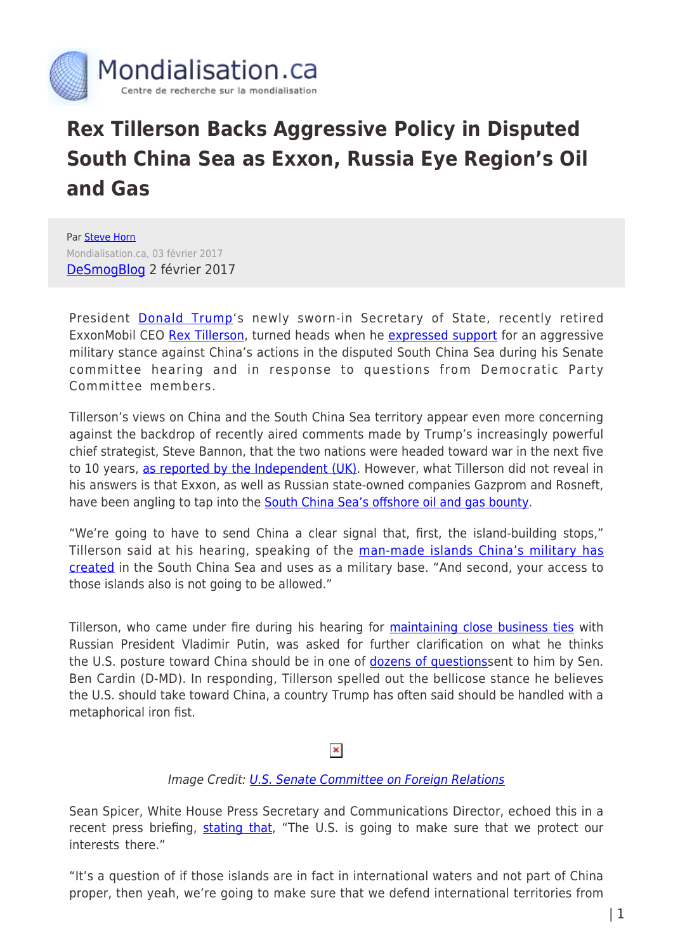

# **Rex Tillerson Backs Aggressive Policy in Disputed South China Sea as Exxon, Russia Eye Region's Oil and Gas**

Par [Steve Horn](https://www.mondialisation.ca/author/steve-horn) Mondialisation.ca, 03 février 2017 [DeSmogBlog](https://www.desmogblog.com/2017/02/02/rex-tillerson-south-china-sea-exxon-russia-offshore-oil-gas) 2 février 2017

President [Donald Trump](https://www.desmogblog.com/donald-trump)'s newly sworn-in Secretary of State, recently retired ExxonMobil CEO [Rex Tillerson](https://www.desmogblog.com/rex-tillerson), turned heads when he [expressed support](https://www.nytimes.com/2017/01/12/world/asia/rex-tillerson-south-china-sea-us.html) for an aggressive military stance against China's actions in the disputed South China Sea during his Senate committee hearing and in response to questions from Democratic Party Committee members.

Tillerson's views on China and the South China Sea territory appear even more concerning against the backdrop of recently aired comments made by Trump's increasingly powerful chief strategist, Steve Bannon, that the two nations were headed toward war in the next five to 10 years, [as reported by the Independent \(UK\).](http://www.independent.co.uk/news/world/americas/donald-trump-steve-bannon-china-south-sea-war-chinese-us-president-special-counsellor-a7556546.html) However, what Tillerson did not reveal in his answers is that Exxon, as well as Russian state-owned companies Gazprom and Rosneft, have been angling to tap into the **South China Sea's offshore oil and gas bounty**.

"We're going to have to send China a clear signal that, first, the island-building stops," Tillerson said at his hearing, speaking of the [man-made islands China's military has](http://www.nbcnews.com/news/china/south-china-sea-artificial-islands-have-weapons-installed-report-n696311) [created](http://www.nbcnews.com/news/china/south-china-sea-artificial-islands-have-weapons-installed-report-n696311) in the South China Sea and uses as a military base. "And second, your access to those islands also is not going to be allowed."

Tillerson, who came under fire during his hearing for **[maintaining close business ties](https://www.desmogblog.com/2016/12/10/trump-putin-exxon-mobil-state-department-rex-tillerson)** with Russian President Vladimir Putin, was asked for further clarification on what he thinks the U.S. posture toward China should be in one of [dozens of questionss](https://www.desmogblog.com/sites/beta.desmogblog.com/files/Ben%20Cardin%20Questions%20Tillerson.pdf)ent to him by Sen. Ben Cardin (D-MD). In responding, Tillerson spelled out the bellicose stance he believes the U.S. should take toward China, a country Trump has often said should be handled with a metaphorical iron fist.

## $\pmb{\times}$

## Image Credit: [U.S. Senate Committee on Foreign Relations](https://www.desmogblog.com/sites/beta.desmogblog.com/files/Ben%20Cardin%20Questions%20Tillerson.pdf)

Sean Spicer, White House Press Secretary and Communications Director, echoed this in a recent press briefing, [stating that,](http://time.com/4644651/u-s-vows-to-stop-beijing-taking-over-south-china-sea-islands/) "The U.S. is going to make sure that we protect our interests there."

"It's a question of if those islands are in fact in international waters and not part of China proper, then yeah, we're going to make sure that we defend international territories from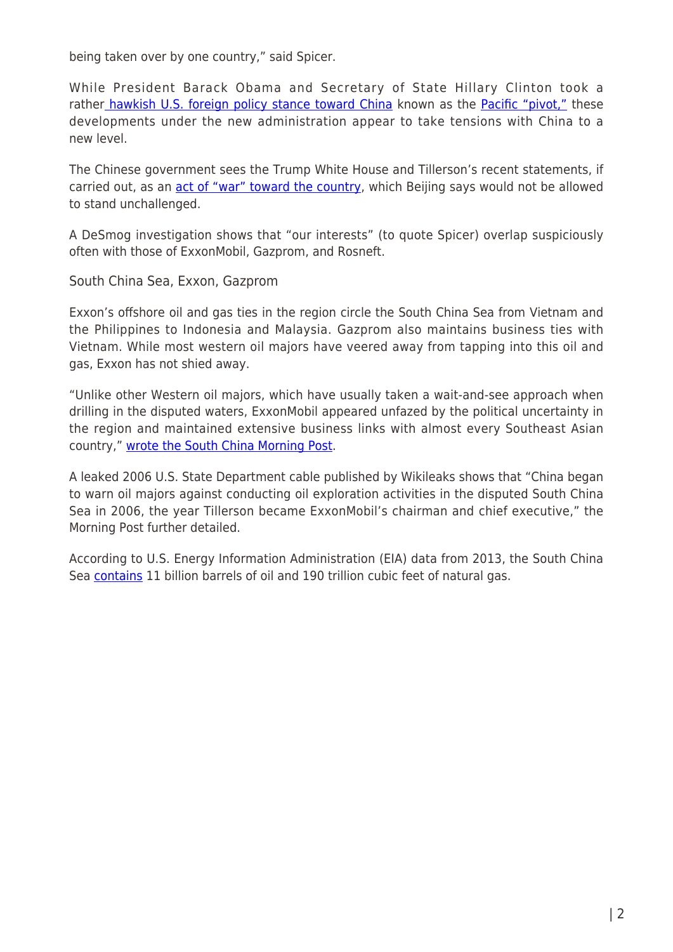being taken over by one country," said Spicer.

While President Barack Obama and Secretary of State Hillary Clinton took a rathe[r hawkish U.S. foreign policy stance toward China](https://en.wikipedia.org/wiki/East_Asian_foreign_policy_of_the_Barack_Obama_administration#The_.27Pivot.27) known as the [Pacific "pivot,"](https://foreignpolicy.com/2011/10/11/americas-pacific-century/) these developments under the new administration appear to take tensions with China to a new level.

The Chinese government sees the Trump White House and Tillerson's recent statements, if carried out, as an [act of "war" toward the country,](http://www.globaltimes.cn/content/1028568.shtml) which Beijing says would not be allowed to stand unchallenged.

A DeSmog investigation shows that "our interests" (to quote Spicer) overlap suspiciously often with those of ExxonMobil, Gazprom, and Rosneft.

South China Sea, Exxon, Gazprom

Exxon's offshore oil and gas ties in the region circle the South China Sea from Vietnam and the Philippines to Indonesia and Malaysia. Gazprom also maintains business ties with Vietnam. While most western oil majors have veered away from tapping into this oil and gas, Exxon has not shied away.

"Unlike other Western oil majors, which have usually taken a wait-and-see approach when drilling in the disputed waters, ExxonMobil appeared unfazed by the political uncertainty in the region and maintained extensive business links with almost every Southeast Asian country," [wrote the South China Morning Post](http://www.scmp.com/news/china/diplomacy-defence/article/2055775/more-known-unknowns-ahead-sino-us-ties-tillerson-trumps).

A leaked 2006 U.S. State Department cable published by Wikileaks shows that "China began to warn oil majors against conducting oil exploration activities in the disputed South China Sea in 2006, the year Tillerson became ExxonMobil's chairman and chief executive," the Morning Post further detailed.

According to U.S. Energy Information Administration (EIA) data from 2013, the South China Sea [contains](https://www.eia.gov/beta/international/regions-topics.cfm?RegionTopicID=SCS) 11 billion barrels of oil and 190 trillion cubic feet of natural gas.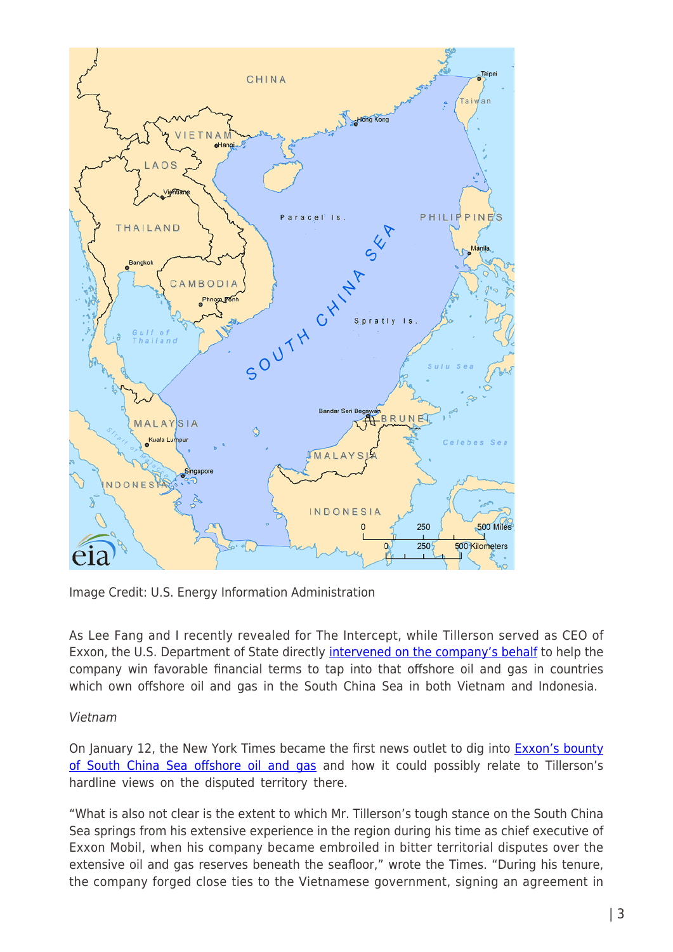

Image Credit: U.S. Energy Information Administration

As Lee Fang and I recently revealed for The Intercept, while Tillerson served as CEO of Exxon, the U.S. Department of State directly [intervened on the company's behalf](https://theintercept.com/2017/01/17/exxonmobil-state-department/) to help the company win favorable financial terms to tap into that offshore oil and gas in countries which own offshore oil and gas in the South China Sea in both Vietnam and Indonesia.

## Vietnam

On January 12, the New York Times became the first news outlet to dig into [Exxon's bounty](http://www.nytimes.com/2017/01/12/world/asia/rex-tillerson-south-china-sea-us.html?_r=0) [of South China Sea offshore oil and gas](http://www.nytimes.com/2017/01/12/world/asia/rex-tillerson-south-china-sea-us.html?_r=0) and how it could possibly relate to Tillerson's hardline views on the disputed territory there.

"What is also not clear is the extent to which Mr. Tillerson's tough stance on the South China Sea springs from his extensive experience in the region during his time as chief executive of Exxon Mobil, when his company became embroiled in bitter territorial disputes over the extensive oil and gas reserves beneath the seafloor," wrote the Times. "During his tenure, the company forged close ties to the Vietnamese government, signing an agreement in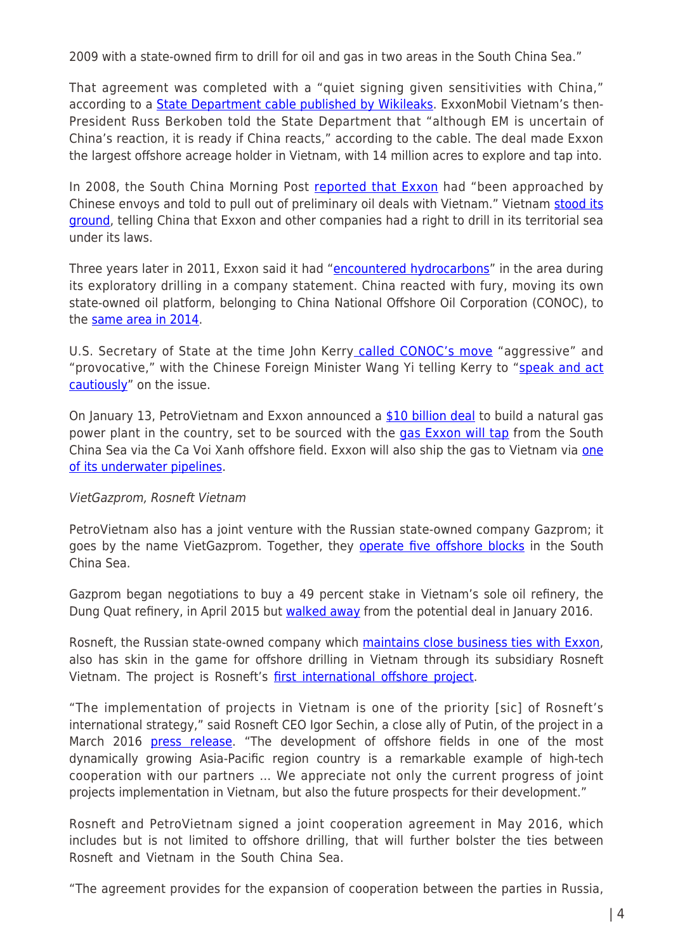2009 with a state-owned firm to drill for oil and gas in two areas in the South China Sea."

That agreement was completed with a "quiet signing given sensitivities with China," according to a **[State Department cable published by Wikileaks](https://wikileaks.org/plusd/cables/09HANOI640_a.html)**. ExxonMobil Vietnam's then-President Russ Berkoben told the State Department that "although EM is uncertain of China's reaction, it is ready if China reacts," according to the cable. The deal made Exxon the largest offshore acreage holder in Vietnam, with 14 million acres to explore and tap into.

In 2008, the South China Morning Post [reported that Exxon](http://www.scmp.com/article/645905/tussle-oil-south-china-sea) had "been approached by Chinese envoys and told to pull out of preliminary oil deals with Vietnam." Vietnam [stood its](http://www.scmp.com/article/645905/tussle-oil-south-china-sea) [ground](http://www.scmp.com/article/645905/tussle-oil-south-china-sea), telling China that Exxon and other companies had a right to drill in its territorial sea under its laws.

Three years later in 2011, Exxon said it had "[encountered hydrocarbons](https://webcache.googleusercontent.com/search?q=cache:aSA5Y6SQakoJ:https://www.ft.com/content/e5674186-ffe5-11e0-ba79-00144feabdc0+&cd=4&hl=en&ct=clnk&gl=us)" in the area during its exploratory drilling in a company statement. China reacted with fury, moving its own state-owned oil platform, belonging to China National Offshore Oil Corporation (CONOC), to the [same area in 2014](http://www.platts.com/latest-news/oil/hanoi/vietnam-china-oil-rig-flare-up-heightens-threat-26784735).

U.S. Secretary of State at the time John Kerry [called CONOC's move](http://www.voanews.com/a/kerry-chinas-oil-rig-in-south-china-sea-provocative/1913329.html) "aggressive" and "provocative," with the Chinese Foreign Minister Wang Yi telling Kerry to ["speak and act](http://www.voanews.com/a/kerry-chinas-oil-rig-in-south-china-sea-provocative/1913329.html) [cautiously"](http://www.voanews.com/a/kerry-chinas-oil-rig-in-south-china-sea-provocative/1913329.html) on the issue.

On January 13, PetroVietnam and Exxon announced a [\\$10 billion deal](http://www.atimes.com/article/exxon-vietnam-gas-deal-test-tillersons-diplomacy/) to build a natural gas power plant in the country, set to be sourced with the [gas Exxon will tap](http://www.platts.com/latest-news/natural-gas/hanoi/petrovietnam-exxonmobil-expect-first-gas-from-27599314) from the South China Sea via the Ca Voi Xanh offshore field. Exxon will also ship the gas to Vietnam via [one](http://www.atimes.com/article/exxon-vietnam-gas-deal-test-tillersons-diplomacy/) [of its underwater pipelines.](http://www.atimes.com/article/exxon-vietnam-gas-deal-test-tillersons-diplomacy/)

## VietGazprom, Rosneft Vietnam

PetroVietnam also has a joint venture with the Russian state-owned company Gazprom; it goes by the name VietGazprom. Together, they [operate five offshore blocks](http://www.maritime-executive.com/article/gazprom-and-petrovietnam-agree-offshore-development) in the South China Sea.

Gazprom began negotiations to buy a 49 percent stake in Vietnam's sole oil refinery, the Dung Quat refinery, in April 2015 but [walked away](http://www.reuters.com/article/us-vietnam-gazprom-neft-idUSKCN0UP0BM20160111) from the potential deal in January 2016.

Rosneft, the Russian state-owned company which [maintains close business ties with Exxon,](https://www.desmogblog.com/2016/12/10/trump-putin-exxon-mobil-state-department-rex-tillerson) also has skin in the game for offshore drilling in Vietnam through its subsidiary Rosneft Vietnam. The project is Rosneft's [first international offshore project](https://www.rt.com/business/335088-rosneft-vietnam-drilling-exploration/).

"The implementation of projects in Vietnam is one of the priority [sic] of Rosneft's international strategy," said Rosneft CEO Igor Sechin, a close ally of Putin, of the project in a March 2016 [press release.](https://www.rosneft.com/press/today/item/180879/) "The development of offshore fields in one of the most dynamically growing Asia-Pacific region country is a remarkable example of high-tech cooperation with our partners … We appreciate not only the current progress of joint projects implementation in Vietnam, but also the future prospects for their development."

Rosneft and PetroVietnam signed a joint cooperation agreement in May 2016, which includes but is not limited to offshore drilling, that will further bolster the ties between Rosneft and Vietnam in the South China Sea.

"The agreement provides for the expansion of cooperation between the parties in Russia,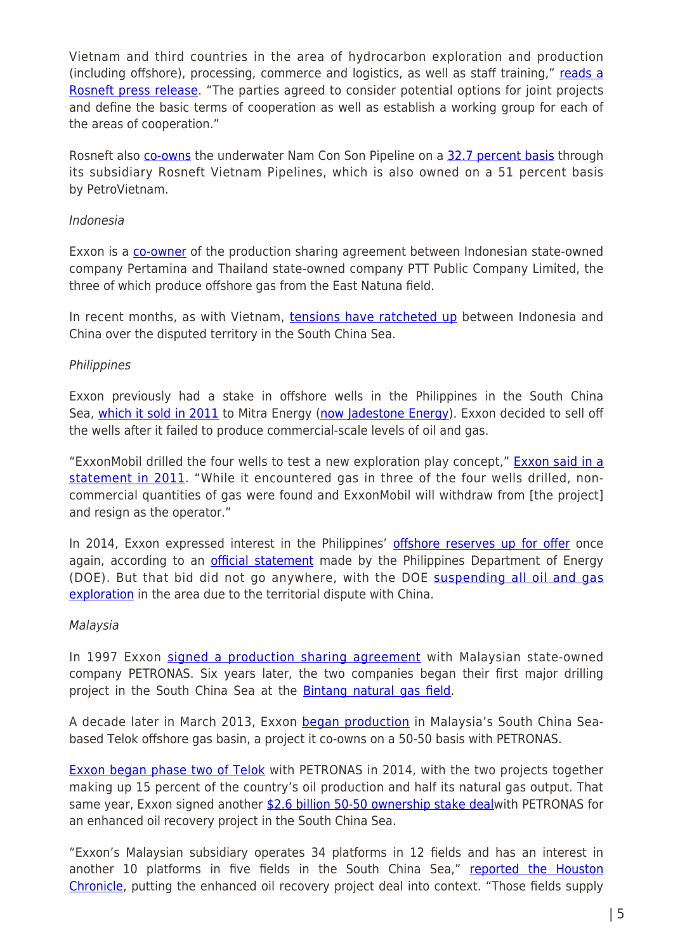Vietnam and third countries in the area of hydrocarbon exploration and production (including offshore), processing, commerce and logistics, as well as staff training," [reads a](https://www.rosneft.com/press/releases/item/181439/) [Rosneft press release](https://www.rosneft.com/press/releases/item/181439/). "The parties agreed to consider potential options for joint projects and define the basic terms of cooperation as well as establish a working group for each of the areas of cooperation."

Rosneft also [co-owns](https://www.rosneft.ru/docs/report/2015/eng/3_7_eng.html) the underwater Nam Con Son Pipeline on a [32.7 percent basis](https://www.rosneft.ru/docs/report/2015/eng/reports/a_report_2015_eng.pdf) through its subsidiary Rosneft Vietnam Pipelines, which is also owned on a 51 percent basis by PetroVietnam.

#### Indonesia

Exxon is a [co-owner](https://local.exxonmobil.com/Indonesia-English/PA/about_where_exp.aspx) of the production sharing agreement between Indonesian state-owned company Pertamina and Thailand state-owned company PTT Public Company Limited, the three of which produce offshore gas from the East Natuna field.

In recent months, as with Vietnam, [tensions have ratcheted up](http://www.reuters.com/article/us-southchinasea-ruling-indonesia-idUSKCN0ZT14M) between Indonesia and China over the disputed territory in the South China Sea.

## **Philippines**

Exxon previously had a stake in offshore wells in the Philippines in the South China Sea, [which it sold in 2011](http://www.philstar.com:8080/business/744004/exxonmobil-opts-out-n-palawan-project) to Mitra Energy (now ladestone Energy). Exxon decided to sell off the wells after it failed to produce commercial-scale levels of oil and gas.

"ExxonMobil drilled the four wells to test a new exploration play concept," **[Exxon said in a](http://www.philstar.com:8080/business/744004/exxonmobil-opts-out-n-palawan-project)** [statement in 2011.](http://www.philstar.com:8080/business/744004/exxonmobil-opts-out-n-palawan-project) "While it encountered gas in three of the four wells drilled, noncommercial quantities of gas were found and ExxonMobil will withdraw from [the project] and resign as the operator."

In 2014, Exxon expressed interest in the Philippines' [offshore reserves up for offer](https://web.archive.org/web/20141020152017/http://www.doe.gov.ph/pecr5/index.php/petroleum/petroleum-areas-for-offer-menu) once again, according to an **official statement** made by the Philippines Department of Energy (DOE). But that bid did not go anywhere, with the DOE [suspending all oil and gas](http://fuelfix.com/blog/2015/03/03/philippines-suspends-oil-gas-exploration-in-disputed-waters-with-china/) [exploration](http://fuelfix.com/blog/2015/03/03/philippines-suspends-oil-gas-exploration-in-disputed-waters-with-china/) in the area due to the territorial dispute with China.

#### Malaysia

In 1997 Exxon [signed a production sharing agreement](http://expressindia.indianexpress.com/fe/daily/19970624/17555463.html) with Malaysian state-owned company PETRONAS. Six years later, the two companies began their first major drilling project in the South China Sea at the [Bintang natural gas field.](http://ir.exxonmobil.com/phoenix.zhtml?c=115024&p=irol-newsArticle_Print&ID=385755)

A decade later in March 2013, Exxon [began production](http://news.exxonmobil.com/press-release/exxonmobil-starts-production-telok-gas-field) in Malaysia's South China Seabased Telok offshore gas basin, a project it co-owns on a 50-50 basis with PETRONAS.

[Exxon began phase two of Telok](https://www.linkedin.com/pulse/exxonmobil-starts-production-from-telok-b-philip-teoh) with PETRONAS in 2014, with the two projects together making up 15 percent of the country's oil production and half its natural gas output. That same year, Exxon signed another [\\$2.6 billion 50-50 ownership stake deal](http://fuelfix.com/blog/2014/09/15/exxon-begins2-6-billion-malaysian-eor-project/)with PETRONAS for an enhanced oil recovery project in the South China Sea.

"Exxon's Malaysian subsidiary operates 34 platforms in 12 fields and has an interest in another 10 platforms in five fields in the South China Sea," [reported the Houston](http://fuelfix.com/blog/2014/09/15/exxon-begins2-6-billion-malaysian-eor-project/) [Chronicle,](http://fuelfix.com/blog/2014/09/15/exxon-begins2-6-billion-malaysian-eor-project/) putting the enhanced oil recovery project deal into context. "Those fields supply